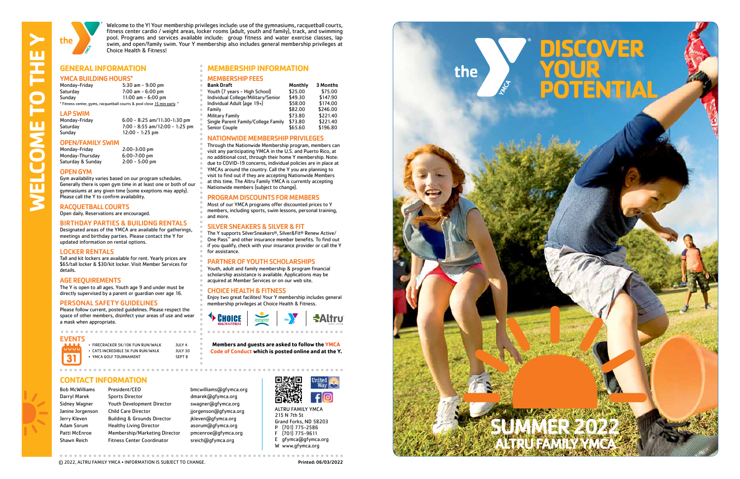**CARING • RESPECT • HONESTY • RESPONSIBILITY** 

31



Welcome to the Y! Your membership privileges include: use of the gymnasiums, racquetball courts, fitness center cardio / weight areas, locker rooms (adult, youth and family), track, and swimming pool. Programs and services available include: group fitness and water exercise classes, lap swim, and open/family swim. Your Y membership also includes general membership privileges at Choice Health & Fitness!

**MEMBERSHIP FEES**<br>Bank Draft

Individual Adult (age  $19+$ )

### **GENERAL INFORMATION MEMBERSHIP INFORMATION**

### YMCA BUILDING HOURS\*

NATIONWIDE MEMBERSHIP PRIVILEGES Through the Nationwide Membership program, members can visit any participating YMCA in the U.S. and Puerto Rico, at no additional cost, through their home Y membership. Note: due to COVID-19 concerns, individual policies are in place at YMCAs around the country. Call the Y you are planning to visit to find out if they are accepting Nationwide Members at this time. The Altru Family YMCA is currently accepting

Single Parent Family/College Family \$73.80

Youth (7 years - High School) \$25.00 \$75.00<br>Individual College/Military/Senior \$49.30 \$147.90 Individual College/Military/Senior \$49.30 \$147.90

Nationwide members (subject to change).

Family **1988** 582.00 \$246.00<br>Military Family 1988 573.80 \$221.40 Military Family \$73.80 \$221.40

Senior Couple 655.60 \$196.80

Monthly 3 Months

PROGRAM DISCOUNTS FOR MEMBERS Most of our YMCA programs offer discounted prices to Y members, including sports, swim lessons, personal training,

and more.

SILVER SNEAKERS & SILVER & FIT

The Y supports SilverSneakers ®, Silver&Fit ® Renew Active/ One Pass ™ and other insurance member benefits. To find out if you qualify, check with your insurance provider or call the Y

for assistance.

<sup>t</sup> CHOICE

Monday-Friday 6:00 - 8:25 am/11:30-1:30 pm Saturday 7:00 - 8:55 am/12:00 - 1:25 pm  $12:00 - 1:25$  pm

# **OPEN/FAMILY SWIM**<br>Monday-Friday

Monday-Thursday 6:00-7:00 pm<br>Saturday & Sunday 2:00 - 5:00 pm Saturday & Sunday

> PARTNER OF YOUTH SCHOLARSHIPS Youth, adult and family membership & program financial scholarship assistance is available. Applications may be acquired at Member Services or on our web site.

CHOICE HEALTH & FITNESS

Enjoy two great facilites! Your Y membership includes general

membership privileges at Choice Health & Fitness.

ALTRU FAMILY YMCA 215 N 7th St Grand Forks, ND 58203 P (701) 775-2586 F (701) 775-9611 E gfymca@gfymca.org W www.gfymca.org



C 2022, ALTRU FAMILY YMCA • INFORMATION IS SUBJECT TO CHANGE. **Example 2014 1999 12:30 Printed: 06/03/2022** 

| Monday-Friday                                                           | $5:30$ am $-9:00$ pm |
|-------------------------------------------------------------------------|----------------------|
| Saturday                                                                | $7:00$ am $-6:00$ pm |
| Sunday                                                                  | 11:00 am $-6:00$ pm  |
| * Fitness center, gyms, racquetball courts & pool close 15 min early. * |                      |

# **LAP SWIM**<br>Monday-Friday

### OPEN GYM

Gym availability varies based on our program schedules. Generally there is open gym time in at least one or both of our gymnasiums at any given time (some exeptions may apply). Please call the Y to confirm availability.

2:00-3:00 pm<br>6:00-7:00 pm

### RACQUETBALL COURTS

Open daily. Reservations are encouraged.

### BIRTHDAY PARTIES & BUILIDNG RENTALS

Designated areas of the YMCA are available for gatherings, meetings and birthday parties. Please contact the Y for updated information on rental options.

### LOCKER RENTALS

Tall and kit lockers are available for rent. Yearly prices are \$65/tall locker & \$30/kit locker. Visit Member Services for details.

### AGE REQUIREMENTS

The Y is open to all ages. Youth age 9 and under must be directly supervised by a parent or guardian over age 16.

### PERSONAL SAFETY GUIDELINES

Please follow current, posted guidelines. Please respect the space of other members, disinfect your areas of use and wear a mask when appropriate.

### **CONTACT INFORMATION**

Bob McWilliams President/CEO bmcwilliams@gfymca.org Darryl Marek Sports Director by a dmarek@qfymca.org Sidney Wagner Youth Development Director swagner@gfymca.org Janine Jorgenson Child Care Director in a jjorgenson@gfymca.org Jerry Kleven Building & Grounds Director ikleven@gfymca.org Adam Sorum Healthy Living Director asorum@gfymca.org Patti McEnroe Membership/Marketing Director pmcenroe@gfymca.org Shawn Reich Fitness Center Coordinator sreich@qfymca.org



**Altru** 

**Members and guests are asked to follow the YMCA Code of Conduct which is posted online and at the Y.** 

### EVENTS

- 
- CATS INCREDIBLE 5K FUN RUN/WALK JULY 30 • YMCA GOLF TOURNAMENT SEPT 8
- FIRECRACKER 5K/10K FUN RUN/WALK JULY 4

**WELCOME TO THE Y** 

m

 $\blacksquare$ 

 $\overline{\mathbf{u}}$ 

S

Ì

 $\blacksquare$ 

ய

SUMMER 2022 ALTRU FAMILY YMCA

# **DISCOVER YOUR POTENTIAL**